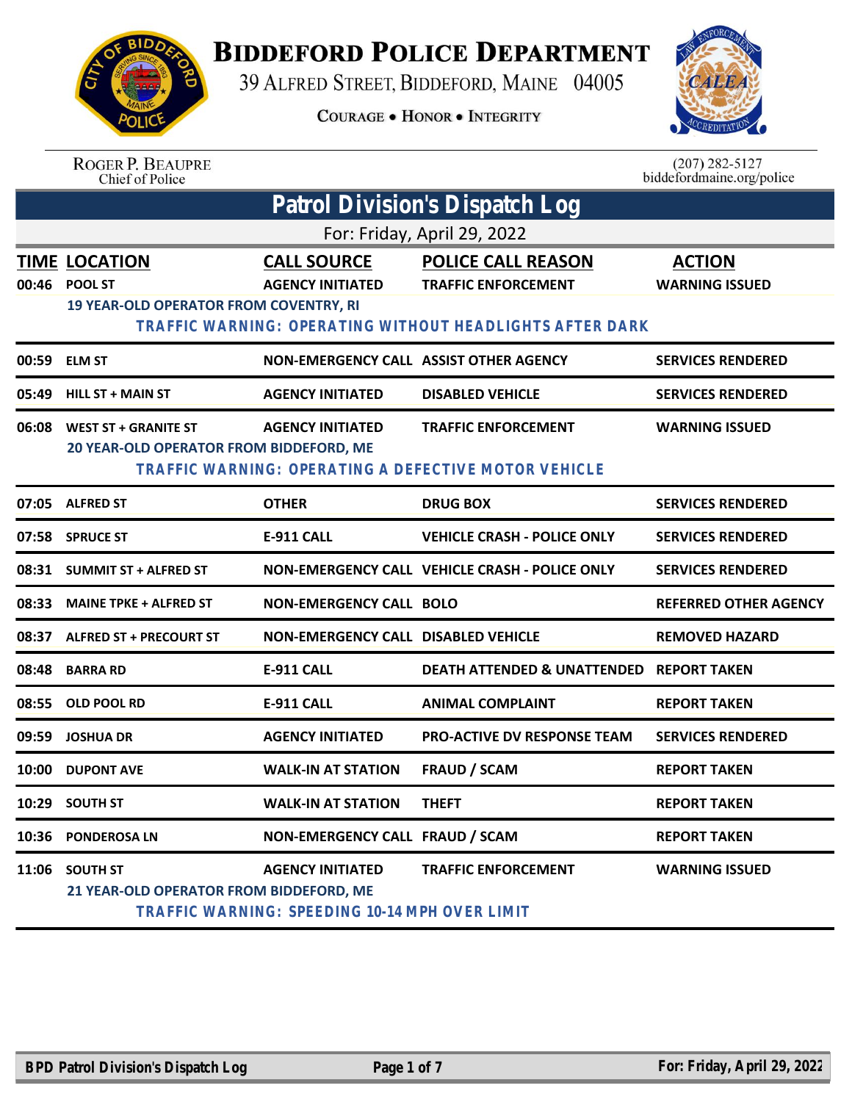

## **BIDDEFORD POLICE DEPARTMENT**

39 ALFRED STREET, BIDDEFORD, MAINE 04005

**COURAGE . HONOR . INTEGRITY** 



ROGER P. BEAUPRE<br>Chief of Police

 $(207)$  282-5127<br>biddefordmaine.org/police

| Patrol Division's Dispatch Log |                                                                                         |                                                                           |                                                                                                                     |                                        |  |  |
|--------------------------------|-----------------------------------------------------------------------------------------|---------------------------------------------------------------------------|---------------------------------------------------------------------------------------------------------------------|----------------------------------------|--|--|
|                                | For: Friday, April 29, 2022                                                             |                                                                           |                                                                                                                     |                                        |  |  |
| 00:46                          | <b>TIME LOCATION</b><br><b>POOL ST</b><br><b>19 YEAR-OLD OPERATOR FROM COVENTRY, RI</b> | <b>CALL SOURCE</b><br><b>AGENCY INITIATED</b>                             | <b>POLICE CALL REASON</b><br><b>TRAFFIC ENFORCEMENT</b><br>TRAFFIC WARNING: OPERATING WITHOUT HEADLIGHTS AFTER DARK | <b>ACTION</b><br><b>WARNING ISSUED</b> |  |  |
| 00:59                          | <b>ELM ST</b>                                                                           | NON-EMERGENCY CALL ASSIST OTHER AGENCY                                    |                                                                                                                     | <b>SERVICES RENDERED</b>               |  |  |
| 05:49                          | <b>HILL ST + MAIN ST</b>                                                                | <b>AGENCY INITIATED</b>                                                   | <b>DISABLED VEHICLE</b>                                                                                             | <b>SERVICES RENDERED</b>               |  |  |
| 06:08                          | <b>WEST ST + GRANITE ST</b><br>20 YEAR-OLD OPERATOR FROM BIDDEFORD, ME                  | <b>AGENCY INITIATED</b>                                                   | <b>TRAFFIC ENFORCEMENT</b><br>TRAFFIC WARNING: OPERATING A DEFECTIVE MOTOR VEHICLE                                  | <b>WARNING ISSUED</b>                  |  |  |
|                                | 07:05 ALFRED ST                                                                         | <b>OTHER</b>                                                              | <b>DRUG BOX</b>                                                                                                     | <b>SERVICES RENDERED</b>               |  |  |
| 07:58                          | <b>SPRUCE ST</b>                                                                        | E-911 CALL                                                                | <b>VEHICLE CRASH - POLICE ONLY</b>                                                                                  | <b>SERVICES RENDERED</b>               |  |  |
| 08:31                          | <b>SUMMIT ST + ALFRED ST</b>                                                            |                                                                           | NON-EMERGENCY CALL VEHICLE CRASH - POLICE ONLY                                                                      | <b>SERVICES RENDERED</b>               |  |  |
| 08:33                          | <b>MAINE TPKE + ALFRED ST</b>                                                           | <b>NON-EMERGENCY CALL BOLO</b>                                            |                                                                                                                     | <b>REFERRED OTHER AGENCY</b>           |  |  |
| 08:37                          | <b>ALFRED ST + PRECOURT ST</b>                                                          | <b>NON-EMERGENCY CALL DISABLED VEHICLE</b>                                |                                                                                                                     | <b>REMOVED HAZARD</b>                  |  |  |
| 08:48                          | <b>BARRA RD</b>                                                                         | <b>E-911 CALL</b>                                                         | DEATH ATTENDED & UNATTENDED REPORT TAKEN                                                                            |                                        |  |  |
| 08:55                          | OLD POOL RD                                                                             | <b>E-911 CALL</b>                                                         | <b>ANIMAL COMPLAINT</b>                                                                                             | <b>REPORT TAKEN</b>                    |  |  |
| 09:59                          | <b>JOSHUA DR</b>                                                                        | <b>AGENCY INITIATED</b>                                                   | <b>PRO-ACTIVE DV RESPONSE TEAM</b>                                                                                  | <b>SERVICES RENDERED</b>               |  |  |
| 10:00                          | <b>DUPONT AVE</b>                                                                       | <b>WALK-IN AT STATION</b>                                                 | <b>FRAUD / SCAM</b>                                                                                                 | <b>REPORT TAKEN</b>                    |  |  |
| 10:29                          | <b>SOUTH ST</b>                                                                         | <b>WALK-IN AT STATION</b>                                                 | <b>THEFT</b>                                                                                                        | <b>REPORT TAKEN</b>                    |  |  |
|                                | 10:36 PONDEROSA LN                                                                      | NON-EMERGENCY CALL FRAUD / SCAM                                           |                                                                                                                     | <b>REPORT TAKEN</b>                    |  |  |
|                                | 11:06 SOUTH ST<br>21 YEAR-OLD OPERATOR FROM BIDDEFORD, ME                               | <b>AGENCY INITIATED</b><br>TRAFFIC WARNING: SPEEDING 10-14 MPH OVER LIMIT | <b>TRAFFIC ENFORCEMENT</b>                                                                                          | <b>WARNING ISSUED</b>                  |  |  |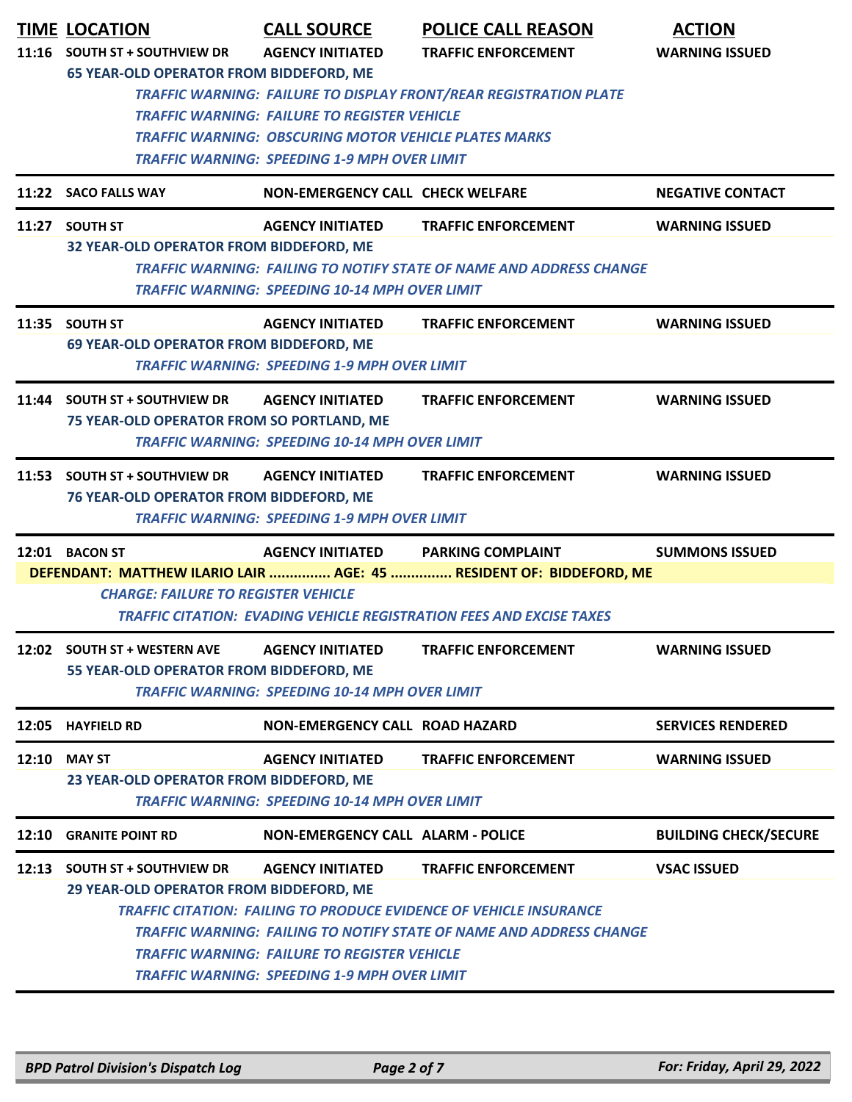|       | <b>TIME LOCATION</b><br>11:16 SOUTH ST + SOUTHVIEW DR                      | <b>CALL SOURCE</b><br><b>AGENCY INITIATED</b>                                                                                                                              | <b>POLICE CALL REASON</b><br><b>TRAFFIC ENFORCEMENT</b>                                                                                                                               | <b>ACTION</b><br><b>WARNING ISSUED</b> |
|-------|----------------------------------------------------------------------------|----------------------------------------------------------------------------------------------------------------------------------------------------------------------------|---------------------------------------------------------------------------------------------------------------------------------------------------------------------------------------|----------------------------------------|
|       | <b>65 YEAR-OLD OPERATOR FROM BIDDEFORD, ME</b>                             | <b>TRAFFIC WARNING: FAILURE TO REGISTER VEHICLE</b><br><b>TRAFFIC WARNING: OBSCURING MOTOR VEHICLE PLATES MARKS</b><br><b>TRAFFIC WARNING: SPEEDING 1-9 MPH OVER LIMIT</b> | <b>TRAFFIC WARNING: FAILURE TO DISPLAY FRONT/REAR REGISTRATION PLATE</b>                                                                                                              |                                        |
|       | 11:22 SACO FALLS WAY                                                       | <b>NON-EMERGENCY CALL CHECK WELFARE</b>                                                                                                                                    |                                                                                                                                                                                       | <b>NEGATIVE CONTACT</b>                |
|       | 11:27 SOUTH ST<br>32 YEAR-OLD OPERATOR FROM BIDDEFORD, ME                  | <b>AGENCY INITIATED</b><br><b>TRAFFIC WARNING: SPEEDING 10-14 MPH OVER LIMIT</b>                                                                                           | <b>TRAFFIC ENFORCEMENT</b><br><b>TRAFFIC WARNING: FAILING TO NOTIFY STATE OF NAME AND ADDRESS CHANGE</b>                                                                              | <b>WARNING ISSUED</b>                  |
|       | 11:35 SOUTH ST<br>69 YEAR-OLD OPERATOR FROM BIDDEFORD, ME                  | <b>AGENCY INITIATED</b><br><b>TRAFFIC WARNING: SPEEDING 1-9 MPH OVER LIMIT</b>                                                                                             | <b>TRAFFIC ENFORCEMENT</b>                                                                                                                                                            | <b>WARNING ISSUED</b>                  |
|       | 11:44 SOUTH ST + SOUTHVIEW DR<br>75 YEAR-OLD OPERATOR FROM SO PORTLAND, ME | <b>AGENCY INITIATED</b><br><b>TRAFFIC WARNING: SPEEDING 10-14 MPH OVER LIMIT</b>                                                                                           | <b>TRAFFIC ENFORCEMENT</b>                                                                                                                                                            | <b>WARNING ISSUED</b>                  |
|       | 11:53 SOUTH ST + SOUTHVIEW DR<br>76 YEAR-OLD OPERATOR FROM BIDDEFORD, ME   | <b>AGENCY INITIATED</b><br><b>TRAFFIC WARNING: SPEEDING 1-9 MPH OVER LIMIT</b>                                                                                             | <b>TRAFFIC ENFORCEMENT</b>                                                                                                                                                            | <b>WARNING ISSUED</b>                  |
|       | 12:01 BACON ST                                                             | <b>AGENCY INITIATED</b>                                                                                                                                                    | <b>PARKING COMPLAINT</b>                                                                                                                                                              | <b>SUMMONS ISSUED</b>                  |
|       | <b>CHARGE: FAILURE TO REGISTER VEHICLE</b>                                 |                                                                                                                                                                            | DEFENDANT: MATTHEW ILARIO LAIR  AGE: 45  RESIDENT OF: BIDDEFORD, ME<br><b>TRAFFIC CITATION: EVADING VEHICLE REGISTRATION FEES AND EXCISE TAXES</b>                                    |                                        |
|       | 12:02 SOUTH ST + WESTERN AVE<br>55 YEAR-OLD OPERATOR FROM BIDDEFORD, ME    | <b>AGENCY INITIATED</b><br><b>TRAFFIC WARNING: SPEEDING 10-14 MPH OVER LIMIT</b>                                                                                           | <b>TRAFFIC ENFORCEMENT</b>                                                                                                                                                            | <b>WARNING ISSUED</b>                  |
|       | 12:05 HAYFIELD RD                                                          | <b>NON-EMERGENCY CALL ROAD HAZARD</b>                                                                                                                                      |                                                                                                                                                                                       | <b>SERVICES RENDERED</b>               |
| 12:10 | <b>MAY ST</b><br>23 YEAR-OLD OPERATOR FROM BIDDEFORD, ME                   | <b>AGENCY INITIATED</b><br><b>TRAFFIC WARNING: SPEEDING 10-14 MPH OVER LIMIT</b>                                                                                           | <b>TRAFFIC ENFORCEMENT</b>                                                                                                                                                            | <b>WARNING ISSUED</b>                  |
|       | 12:10 GRANITE POINT RD                                                     | <b>NON-EMERGENCY CALL ALARM - POLICE</b>                                                                                                                                   |                                                                                                                                                                                       | <b>BUILDING CHECK/SECURE</b>           |
|       | 12:13 SOUTH ST + SOUTHVIEW DR<br>29 YEAR-OLD OPERATOR FROM BIDDEFORD, ME   | <b>AGENCY INITIATED</b><br><b>TRAFFIC WARNING: FAILURE TO REGISTER VEHICLE</b><br><b>TRAFFIC WARNING: SPEEDING 1-9 MPH OVER LIMIT</b>                                      | <b>TRAFFIC ENFORCEMENT</b><br><b>TRAFFIC CITATION: FAILING TO PRODUCE EVIDENCE OF VEHICLE INSURANCE</b><br><b>TRAFFIC WARNING: FAILING TO NOTIFY STATE OF NAME AND ADDRESS CHANGE</b> | <b>VSAC ISSUED</b>                     |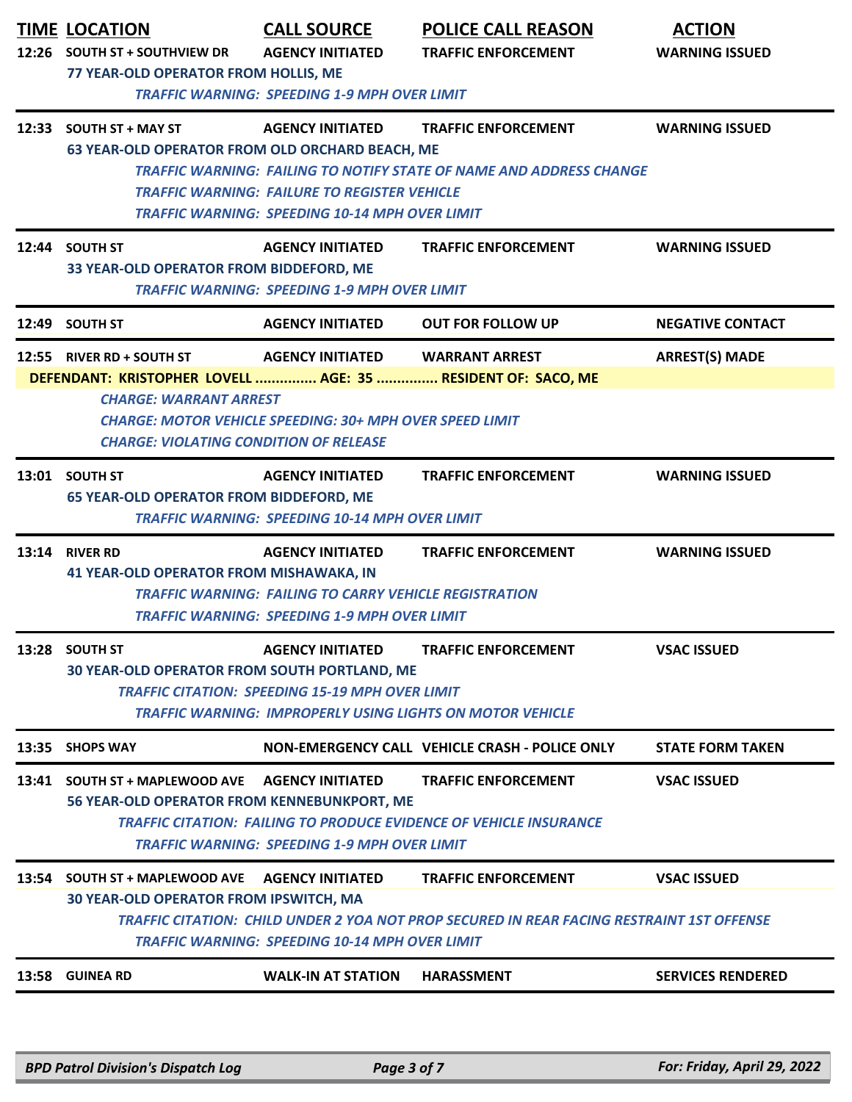|       | <b>TIME LOCATION</b><br>12:26 SOUTH ST + SOUTHVIEW DR<br>77 YEAR-OLD OPERATOR FROM HOLLIS, ME                                                                                                                                                                                                    | <b>CALL SOURCE</b><br><b>AGENCY INITIATED</b><br><b>TRAFFIC WARNING: SPEEDING 1-9 MPH OVER LIMIT</b>                                            | <b>POLICE CALL REASON</b><br><b>TRAFFIC ENFORCEMENT</b>                                                                 | <b>ACTION</b><br><b>WARNING ISSUED</b> |  |
|-------|--------------------------------------------------------------------------------------------------------------------------------------------------------------------------------------------------------------------------------------------------------------------------------------------------|-------------------------------------------------------------------------------------------------------------------------------------------------|-------------------------------------------------------------------------------------------------------------------------|----------------------------------------|--|
|       | 12:33 SOUTH ST + MAY ST<br>63 YEAR-OLD OPERATOR FROM OLD ORCHARD BEACH, ME                                                                                                                                                                                                                       | <b>AGENCY INITIATED</b><br><b>TRAFFIC WARNING: FAILURE TO REGISTER VEHICLE</b><br><b>TRAFFIC WARNING: SPEEDING 10-14 MPH OVER LIMIT</b>         | <b>TRAFFIC ENFORCEMENT</b><br><b>TRAFFIC WARNING: FAILING TO NOTIFY STATE OF NAME AND ADDRESS CHANGE</b>                | <b>WARNING ISSUED</b>                  |  |
|       | 12:44 SOUTH ST<br>33 YEAR-OLD OPERATOR FROM BIDDEFORD, ME                                                                                                                                                                                                                                        | <b>AGENCY INITIATED</b><br><b>TRAFFIC WARNING: SPEEDING 1-9 MPH OVER LIMIT</b>                                                                  | <b>TRAFFIC ENFORCEMENT</b>                                                                                              | <b>WARNING ISSUED</b>                  |  |
|       | 12:49 SOUTH ST                                                                                                                                                                                                                                                                                   | <b>AGENCY INITIATED</b>                                                                                                                         | <b>OUT FOR FOLLOW UP</b>                                                                                                | <b>NEGATIVE CONTACT</b>                |  |
|       | 12:55 RIVER RD + SOUTH ST<br>DEFENDANT: KRISTOPHER LOVELL  AGE: 35  RESIDENT OF: SACO, ME<br><b>CHARGE: WARRANT ARREST</b><br><b>CHARGE: VIOLATING CONDITION OF RELEASE</b>                                                                                                                      | <b>AGENCY INITIATED</b><br><b>CHARGE: MOTOR VEHICLE SPEEDING: 30+ MPH OVER SPEED LIMIT</b>                                                      | <b>WARRANT ARREST</b>                                                                                                   | <b>ARREST(S) MADE</b>                  |  |
|       | 13:01 SOUTH ST<br><b>65 YEAR-OLD OPERATOR FROM BIDDEFORD, ME</b>                                                                                                                                                                                                                                 | <b>AGENCY INITIATED</b><br><b>TRAFFIC WARNING: SPEEDING 10-14 MPH OVER LIMIT</b>                                                                | <b>TRAFFIC ENFORCEMENT</b>                                                                                              | <b>WARNING ISSUED</b>                  |  |
|       | 13:14 RIVER RD<br><b>41 YEAR-OLD OPERATOR FROM MISHAWAKA, IN</b>                                                                                                                                                                                                                                 | <b>AGENCY INITIATED</b><br><b>TRAFFIC WARNING: FAILING TO CARRY VEHICLE REGISTRATION</b><br><b>TRAFFIC WARNING: SPEEDING 1-9 MPH OVER LIMIT</b> | <b>TRAFFIC ENFORCEMENT</b>                                                                                              | <b>WARNING ISSUED</b>                  |  |
|       | 13:28 SOUTH ST<br>30 YEAR-OLD OPERATOR FROM SOUTH PORTLAND, ME                                                                                                                                                                                                                                   | <b>AGENCY INITIATED</b><br><b>TRAFFIC CITATION: SPEEDING 15-19 MPH OVER LIMIT</b>                                                               | <b>TRAFFIC ENFORCEMENT</b><br><b>TRAFFIC WARNING: IMPROPERLY USING LIGHTS ON MOTOR VEHICLE</b>                          | <b>VSAC ISSUED</b>                     |  |
| 13:35 | <b>SHOPS WAY</b>                                                                                                                                                                                                                                                                                 |                                                                                                                                                 | NON-EMERGENCY CALL VEHICLE CRASH - POLICE ONLY                                                                          | <b>STATE FORM TAKEN</b>                |  |
|       | 13:41 SOUTH ST + MAPLEWOOD AVE<br><b>AGENCY INITIATED</b><br><b>TRAFFIC ENFORCEMENT</b><br><b>VSAC ISSUED</b><br>56 YEAR-OLD OPERATOR FROM KENNEBUNKPORT, ME<br><b>TRAFFIC CITATION: FAILING TO PRODUCE EVIDENCE OF VEHICLE INSURANCE</b><br><b>TRAFFIC WARNING: SPEEDING 1-9 MPH OVER LIMIT</b> |                                                                                                                                                 |                                                                                                                         |                                        |  |
| 13:54 | <b>SOUTH ST + MAPLEWOOD AVE</b><br><b>30 YEAR-OLD OPERATOR FROM IPSWITCH, MA</b>                                                                                                                                                                                                                 | <b>AGENCY INITIATED</b><br><b>TRAFFIC WARNING: SPEEDING 10-14 MPH OVER LIMIT</b>                                                                | <b>TRAFFIC ENFORCEMENT</b><br>TRAFFIC CITATION: CHILD UNDER 2 YOA NOT PROP SECURED IN REAR FACING RESTRAINT 1ST OFFENSE | <b>VSAC ISSUED</b>                     |  |
|       |                                                                                                                                                                                                                                                                                                  |                                                                                                                                                 |                                                                                                                         |                                        |  |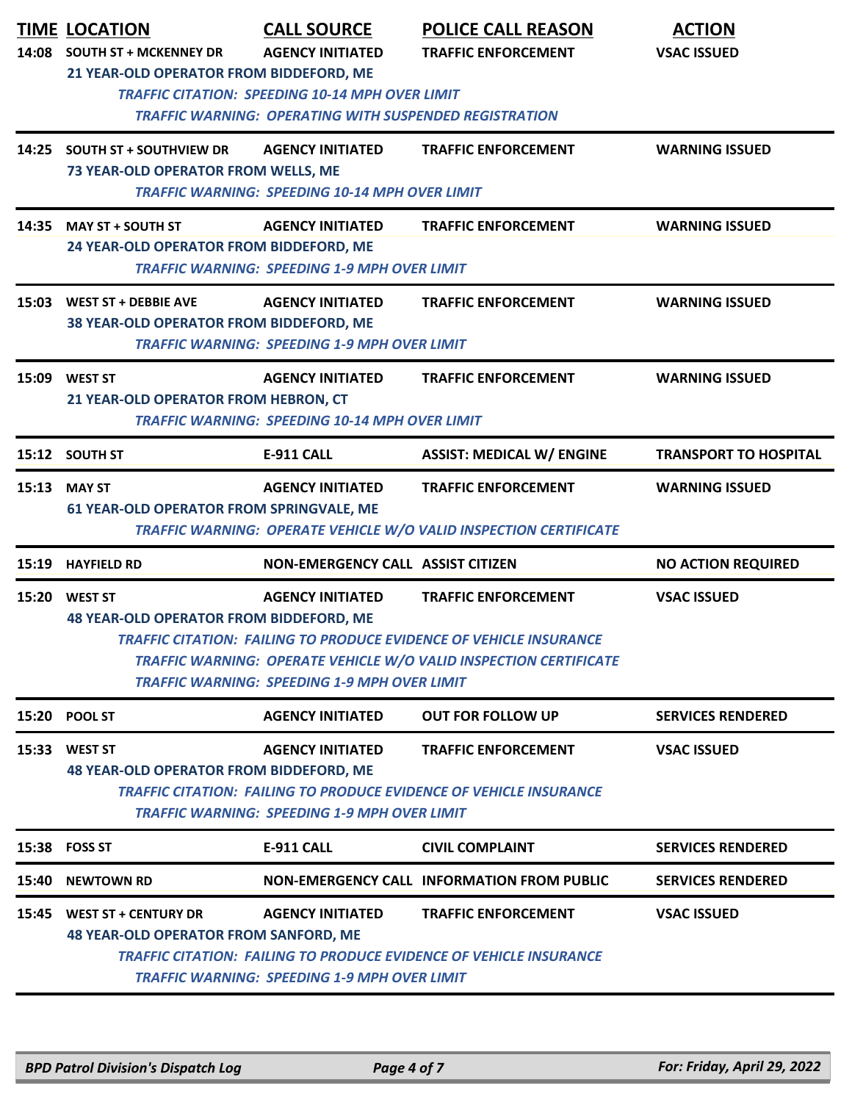| 14:08 | <b>TIME LOCATION</b><br><b>SOUTH ST + MCKENNEY DR</b><br>21 YEAR-OLD OPERATOR FROM BIDDEFORD, ME                                                                                                                                                                                    | <b>CALL SOURCE</b><br><b>AGENCY INITIATED</b>                                                                           | <b>POLICE CALL REASON</b><br><b>TRAFFIC ENFORCEMENT</b>                                                                                                                             | <b>ACTION</b><br><b>VSAC ISSUED</b> |  |  |
|-------|-------------------------------------------------------------------------------------------------------------------------------------------------------------------------------------------------------------------------------------------------------------------------------------|-------------------------------------------------------------------------------------------------------------------------|-------------------------------------------------------------------------------------------------------------------------------------------------------------------------------------|-------------------------------------|--|--|
|       |                                                                                                                                                                                                                                                                                     | <b>TRAFFIC CITATION: SPEEDING 10-14 MPH OVER LIMIT</b><br><b>TRAFFIC WARNING: OPERATING WITH SUSPENDED REGISTRATION</b> |                                                                                                                                                                                     |                                     |  |  |
|       | 14:25 SOUTH ST + SOUTHVIEW DR<br>73 YEAR-OLD OPERATOR FROM WELLS, ME                                                                                                                                                                                                                | <b>AGENCY INITIATED</b><br><b>TRAFFIC WARNING: SPEEDING 10-14 MPH OVER LIMIT</b>                                        | <b>TRAFFIC ENFORCEMENT</b>                                                                                                                                                          | <b>WARNING ISSUED</b>               |  |  |
|       | 14:35 MAY ST + SOUTH ST<br>24 YEAR-OLD OPERATOR FROM BIDDEFORD, ME                                                                                                                                                                                                                  | <b>AGENCY INITIATED</b><br><b>TRAFFIC WARNING: SPEEDING 1-9 MPH OVER LIMIT</b>                                          | <b>TRAFFIC ENFORCEMENT</b>                                                                                                                                                          | <b>WARNING ISSUED</b>               |  |  |
| 15:03 | <b>WEST ST + DEBBIE AVE</b><br>38 YEAR-OLD OPERATOR FROM BIDDEFORD, ME                                                                                                                                                                                                              | <b>AGENCY INITIATED</b><br><b>TRAFFIC WARNING: SPEEDING 1-9 MPH OVER LIMIT</b>                                          | <b>TRAFFIC ENFORCEMENT</b>                                                                                                                                                          | <b>WARNING ISSUED</b>               |  |  |
|       | 15:09 WEST ST<br><b>TRAFFIC ENFORCEMENT</b><br><b>WARNING ISSUED</b><br><b>AGENCY INITIATED</b><br>21 YEAR-OLD OPERATOR FROM HEBRON, CT<br><b>TRAFFIC WARNING: SPEEDING 10-14 MPH OVER LIMIT</b>                                                                                    |                                                                                                                         |                                                                                                                                                                                     |                                     |  |  |
|       | 15:12 SOUTH ST                                                                                                                                                                                                                                                                      | <b>E-911 CALL</b>                                                                                                       | <b>ASSIST: MEDICAL W/ ENGINE</b>                                                                                                                                                    | <b>TRANSPORT TO HOSPITAL</b>        |  |  |
| 15:13 | <b>MAY ST</b><br>61 YEAR-OLD OPERATOR FROM SPRINGVALE, ME                                                                                                                                                                                                                           | <b>AGENCY INITIATED</b>                                                                                                 | <b>TRAFFIC ENFORCEMENT</b><br>TRAFFIC WARNING: OPERATE VEHICLE W/O VALID INSPECTION CERTIFICATE                                                                                     | <b>WARNING ISSUED</b>               |  |  |
|       | 15:19 HAYFIELD RD                                                                                                                                                                                                                                                                   | <b>NON-EMERGENCY CALL ASSIST CITIZEN</b>                                                                                |                                                                                                                                                                                     | <b>NO ACTION REQUIRED</b>           |  |  |
|       |                                                                                                                                                                                                                                                                                     |                                                                                                                         |                                                                                                                                                                                     |                                     |  |  |
|       | 15:20 WEST ST<br><b>48 YEAR-OLD OPERATOR FROM BIDDEFORD, ME</b>                                                                                                                                                                                                                     | <b>AGENCY INITIATED</b><br><b>TRAFFIC WARNING: SPEEDING 1-9 MPH OVER LIMIT</b>                                          | <b>TRAFFIC ENFORCEMENT</b><br><b>TRAFFIC CITATION: FAILING TO PRODUCE EVIDENCE OF VEHICLE INSURANCE</b><br><b>TRAFFIC WARNING: OPERATE VEHICLE W/O VALID INSPECTION CERTIFICATE</b> | <b>VSAC ISSUED</b>                  |  |  |
| 15:20 | <b>POOL ST</b>                                                                                                                                                                                                                                                                      | <b>AGENCY INITIATED</b>                                                                                                 | <b>OUT FOR FOLLOW UP</b>                                                                                                                                                            | <b>SERVICES RENDERED</b>            |  |  |
| 15:33 | <b>VSAC ISSUED</b><br><b>WEST ST</b><br><b>AGENCY INITIATED</b><br><b>TRAFFIC ENFORCEMENT</b><br><b>48 YEAR-OLD OPERATOR FROM BIDDEFORD, ME</b><br><b>TRAFFIC CITATION: FAILING TO PRODUCE EVIDENCE OF VEHICLE INSURANCE</b><br><b>TRAFFIC WARNING: SPEEDING 1-9 MPH OVER LIMIT</b> |                                                                                                                         |                                                                                                                                                                                     |                                     |  |  |
| 15:38 | <b>FOSS ST</b>                                                                                                                                                                                                                                                                      | <b>E-911 CALL</b>                                                                                                       | <b>CIVIL COMPLAINT</b>                                                                                                                                                              | <b>SERVICES RENDERED</b>            |  |  |
| 15:40 | <b>NEWTOWN RD</b>                                                                                                                                                                                                                                                                   |                                                                                                                         | <b>NON-EMERGENCY CALL INFORMATION FROM PUBLIC</b>                                                                                                                                   | <b>SERVICES RENDERED</b>            |  |  |
| 15:45 | <b>WEST ST + CENTURY DR</b><br><b>48 YEAR-OLD OPERATOR FROM SANFORD, ME</b>                                                                                                                                                                                                         | <b>AGENCY INITIATED</b><br><b>TRAFFIC WARNING: SPEEDING 1-9 MPH OVER LIMIT</b>                                          | <b>TRAFFIC ENFORCEMENT</b><br><b>TRAFFIC CITATION: FAILING TO PRODUCE EVIDENCE OF VEHICLE INSURANCE</b>                                                                             | <b>VSAC ISSUED</b>                  |  |  |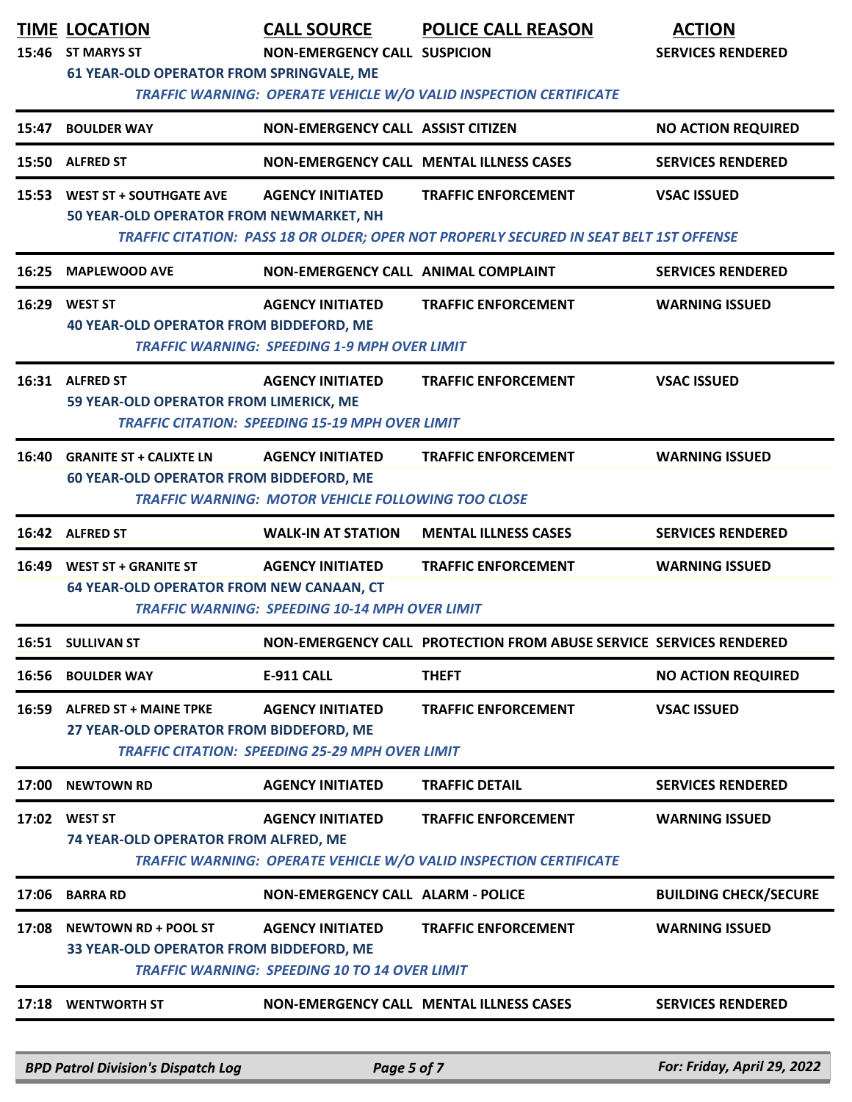|       | <b>TIME LOCATION</b><br>15:46 ST MARYS ST<br>61 YEAR-OLD OPERATOR FROM SPRINGVALE, ME | <b>CALL SOURCE</b><br><b>NON-EMERGENCY CALL SUSPICION</b>                            | <b>POLICE CALL REASON</b><br>TRAFFIC WARNING: OPERATE VEHICLE W/O VALID INSPECTION CERTIFICATE                       | <b>ACTION</b><br><b>SERVICES RENDERED</b> |
|-------|---------------------------------------------------------------------------------------|--------------------------------------------------------------------------------------|----------------------------------------------------------------------------------------------------------------------|-------------------------------------------|
| 15:47 | <b>BOULDER WAY</b>                                                                    | NON-EMERGENCY CALL ASSIST CITIZEN                                                    |                                                                                                                      | <b>NO ACTION REQUIRED</b>                 |
| 15:50 | <b>ALFRED ST</b>                                                                      | <b>NON-EMERGENCY CALL MENTAL ILLNESS CASES</b>                                       |                                                                                                                      | <b>SERVICES RENDERED</b>                  |
| 15:53 | <b>WEST ST + SOUTHGATE AVE</b><br>50 YEAR-OLD OPERATOR FROM NEWMARKET, NH             | <b>AGENCY INITIATED</b>                                                              | <b>TRAFFIC ENFORCEMENT</b><br>TRAFFIC CITATION: PASS 18 OR OLDER; OPER NOT PROPERLY SECURED IN SEAT BELT 1ST OFFENSE | <b>VSAC ISSUED</b>                        |
| 16:25 | <b>MAPLEWOOD AVE</b>                                                                  | NON-EMERGENCY CALL ANIMAL COMPLAINT                                                  |                                                                                                                      | <b>SERVICES RENDERED</b>                  |
|       | 16:29 WEST ST<br><b>40 YEAR-OLD OPERATOR FROM BIDDEFORD, ME</b>                       | <b>AGENCY INITIATED</b><br><b>TRAFFIC WARNING: SPEEDING 1-9 MPH OVER LIMIT</b>       | <b>TRAFFIC ENFORCEMENT</b>                                                                                           | <b>WARNING ISSUED</b>                     |
|       | 16:31 ALFRED ST<br>59 YEAR-OLD OPERATOR FROM LIMERICK, ME                             | <b>AGENCY INITIATED</b><br><b>TRAFFIC CITATION: SPEEDING 15-19 MPH OVER LIMIT</b>    | <b>TRAFFIC ENFORCEMENT</b>                                                                                           | <b>VSAC ISSUED</b>                        |
|       | 16:40 GRANITE ST + CALIXTE LN<br><b>60 YEAR-OLD OPERATOR FROM BIDDEFORD, ME</b>       | <b>AGENCY INITIATED</b><br><b>TRAFFIC WARNING: MOTOR VEHICLE FOLLOWING TOO CLOSE</b> | <b>TRAFFIC ENFORCEMENT</b>                                                                                           | <b>WARNING ISSUED</b>                     |
|       | 16:42 ALFRED ST                                                                       | <b>WALK-IN AT STATION</b>                                                            | <b>MENTAL ILLNESS CASES</b>                                                                                          | <b>SERVICES RENDERED</b>                  |
| 16:49 | <b>WEST ST + GRANITE ST</b><br>64 YEAR-OLD OPERATOR FROM NEW CANAAN, CT               | <b>AGENCY INITIATED</b><br><b>TRAFFIC WARNING: SPEEDING 10-14 MPH OVER LIMIT</b>     | <b>TRAFFIC ENFORCEMENT</b>                                                                                           | <b>WARNING ISSUED</b>                     |
|       | 16:51 SULLIVAN ST                                                                     |                                                                                      | NON-EMERGENCY CALL PROTECTION FROM ABUSE SERVICE SERVICES RENDERED                                                   |                                           |
| 16:56 | <b>BOULDER WAY</b>                                                                    | <b>E-911 CALL</b>                                                                    | <b>THEFT</b>                                                                                                         | <b>NO ACTION REQUIRED</b>                 |
| 16:59 | <b>ALFRED ST + MAINE TPKE</b><br>27 YEAR-OLD OPERATOR FROM BIDDEFORD, ME              | <b>AGENCY INITIATED</b><br><b>TRAFFIC CITATION: SPEEDING 25-29 MPH OVER LIMIT</b>    | <b>TRAFFIC ENFORCEMENT</b>                                                                                           | <b>VSAC ISSUED</b>                        |
| 17:00 | <b>NEWTOWN RD</b>                                                                     | <b>AGENCY INITIATED</b>                                                              | <b>TRAFFIC DETAIL</b>                                                                                                | <b>SERVICES RENDERED</b>                  |
|       | 17:02 WEST ST<br>74 YEAR-OLD OPERATOR FROM ALFRED, ME                                 | <b>AGENCY INITIATED</b>                                                              | <b>TRAFFIC ENFORCEMENT</b><br>TRAFFIC WARNING: OPERATE VEHICLE W/O VALID INSPECTION CERTIFICATE                      | <b>WARNING ISSUED</b>                     |
| 17:06 | <b>BARRA RD</b>                                                                       | <b>NON-EMERGENCY CALL ALARM - POLICE</b>                                             |                                                                                                                      | <b>BUILDING CHECK/SECURE</b>              |
| 17:08 | <b>NEWTOWN RD + POOL ST</b><br>33 YEAR-OLD OPERATOR FROM BIDDEFORD, ME                | <b>AGENCY INITIATED</b><br><b>TRAFFIC WARNING: SPEEDING 10 TO 14 OVER LIMIT</b>      | <b>TRAFFIC ENFORCEMENT</b>                                                                                           | <b>WARNING ISSUED</b>                     |
| 17:18 | <b>WENTWORTH ST</b>                                                                   | <b>NON-EMERGENCY CALL MENTAL ILLNESS CASES</b>                                       |                                                                                                                      | <b>SERVICES RENDERED</b>                  |

*BPD Patrol Division's Dispatch Log Page 5 of 7 For: Friday, April 29, 2022*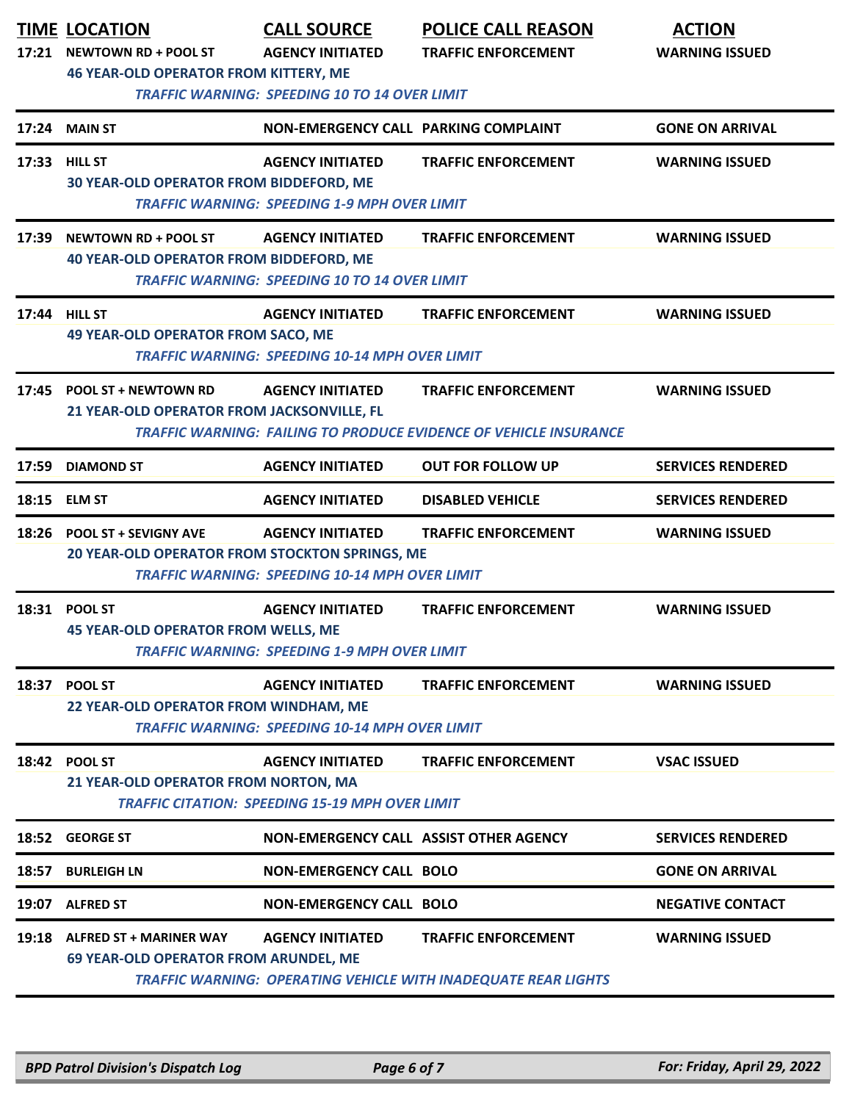| 17:21 | <b>TIME LOCATION</b><br><b>NEWTOWN RD + POOL ST</b><br><b>46 YEAR-OLD OPERATOR FROM KITTERY, ME</b> | <b>CALL SOURCE</b><br><b>AGENCY INITIATED</b><br><b>TRAFFIC WARNING: SPEEDING 10 TO 14 OVER LIMIT</b> | <b>POLICE CALL REASON</b><br><b>TRAFFIC ENFORCEMENT</b>                                                | <b>ACTION</b><br><b>WARNING ISSUED</b> |
|-------|-----------------------------------------------------------------------------------------------------|-------------------------------------------------------------------------------------------------------|--------------------------------------------------------------------------------------------------------|----------------------------------------|
|       | 17:24 MAIN ST                                                                                       | NON-EMERGENCY CALL PARKING COMPLAINT                                                                  |                                                                                                        | <b>GONE ON ARRIVAL</b>                 |
|       | 17:33 HILL ST<br>30 YEAR-OLD OPERATOR FROM BIDDEFORD, ME                                            | <b>AGENCY INITIATED</b><br><b>TRAFFIC WARNING: SPEEDING 1-9 MPH OVER LIMIT</b>                        | <b>TRAFFIC ENFORCEMENT</b>                                                                             | <b>WARNING ISSUED</b>                  |
| 17:39 | <b>NEWTOWN RD + POOL ST</b><br><b>40 YEAR-OLD OPERATOR FROM BIDDEFORD, ME</b>                       | <b>AGENCY INITIATED</b><br><b>TRAFFIC WARNING: SPEEDING 10 TO 14 OVER LIMIT</b>                       | <b>TRAFFIC ENFORCEMENT</b>                                                                             | <b>WARNING ISSUED</b>                  |
|       | 17:44 HILL ST<br><b>49 YEAR-OLD OPERATOR FROM SACO, ME</b>                                          | <b>AGENCY INITIATED</b><br><b>TRAFFIC WARNING: SPEEDING 10-14 MPH OVER LIMIT</b>                      | <b>TRAFFIC ENFORCEMENT</b>                                                                             | <b>WARNING ISSUED</b>                  |
| 17:45 | <b>POOL ST + NEWTOWN RD</b><br>21 YEAR-OLD OPERATOR FROM JACKSONVILLE, FL                           | <b>AGENCY INITIATED</b>                                                                               | <b>TRAFFIC ENFORCEMENT</b><br><b>TRAFFIC WARNING: FAILING TO PRODUCE EVIDENCE OF VEHICLE INSURANCE</b> | <b>WARNING ISSUED</b>                  |
| 17:59 | <b>DIAMOND ST</b>                                                                                   | <b>AGENCY INITIATED</b>                                                                               | <b>OUT FOR FOLLOW UP</b>                                                                               | <b>SERVICES RENDERED</b>               |
| 18:15 | <b>ELM ST</b>                                                                                       | <b>AGENCY INITIATED</b>                                                                               | <b>DISABLED VEHICLE</b>                                                                                | <b>SERVICES RENDERED</b>               |
| 18:26 | <b>POOL ST + SEVIGNY AVE</b><br>20 YEAR-OLD OPERATOR FROM STOCKTON SPRINGS, ME                      | <b>AGENCY INITIATED</b><br><b>TRAFFIC WARNING: SPEEDING 10-14 MPH OVER LIMIT</b>                      | <b>TRAFFIC ENFORCEMENT</b>                                                                             | <b>WARNING ISSUED</b>                  |
| 18:31 | <b>POOL ST</b><br><b>45 YEAR-OLD OPERATOR FROM WELLS, ME</b>                                        | <b>AGENCY INITIATED</b><br><b>TRAFFIC WARNING: SPEEDING 1-9 MPH OVER LIMIT</b>                        | <b>TRAFFIC ENFORCEMENT</b>                                                                             | <b>WARNING ISSUED</b>                  |
|       | 18:37 POOL ST<br>22 YEAR-OLD OPERATOR FROM WINDHAM, ME                                              | <b>AGENCY INITIATED</b><br><b>TRAFFIC WARNING: SPEEDING 10-14 MPH OVER LIMIT</b>                      | <b>TRAFFIC ENFORCEMENT</b>                                                                             | <b>WARNING ISSUED</b>                  |
|       | 18:42 POOL ST<br>21 YEAR-OLD OPERATOR FROM NORTON, MA                                               | <b>AGENCY INITIATED</b><br><b>TRAFFIC CITATION: SPEEDING 15-19 MPH OVER LIMIT</b>                     | <b>TRAFFIC ENFORCEMENT</b>                                                                             | <b>VSAC ISSUED</b>                     |
|       | 18:52 GEORGE ST                                                                                     |                                                                                                       | NON-EMERGENCY CALL ASSIST OTHER AGENCY                                                                 | <b>SERVICES RENDERED</b>               |
| 18:57 | <b>BURLEIGH LN</b>                                                                                  | <b>NON-EMERGENCY CALL BOLO</b>                                                                        |                                                                                                        | <b>GONE ON ARRIVAL</b>                 |
|       | 19:07 ALFRED ST                                                                                     | <b>NON-EMERGENCY CALL BOLO</b>                                                                        |                                                                                                        | <b>NEGATIVE CONTACT</b>                |
|       | 19:18 ALFRED ST + MARINER WAY<br><b>69 YEAR-OLD OPERATOR FROM ARUNDEL, ME</b>                       | <b>AGENCY INITIATED</b>                                                                               | <b>TRAFFIC ENFORCEMENT</b><br><b>TRAFFIC WARNING: OPERATING VEHICLE WITH INADEQUATE REAR LIGHTS</b>    | <b>WARNING ISSUED</b>                  |